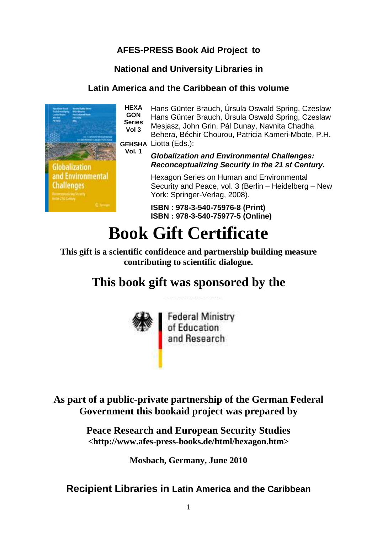# **AFES-PRESS Book Aid Project to**

### **National and University Libraries in**

#### **Latin America and the Caribbean of this volume**



**HEXA GON Series Vol 3 GEHSHA** Liotta (Eds.): Hans Günter Brauch, Úrsula Oswald Spring, Czeslaw Hans Günter Brauch, Úrsula Oswald Spring, Czeslaw Mesjasz, John Grin, Pál Dunay, Navnita Chadha Behera, Béchir Chourou, Patricia Kameri-Mbote, P.H.

**Vol. 1**

**Globalization and Environmental Challenges: Reconceptualizing Security in the 21 st Century.** 

Hexagon Series on Human and Environmental Security and Peace, vol. 3 (Berlin – Heidelberg – New York: Springer-Verlag, 2008).

**ISBN : 978-3-540-75976-8 (Print) ISBN : 978-3-540-75977-5 (Online)**

# **Book Gift Certificate**

**This gift is a scientific confidence and partnership building measure contributing to scientific dialogue.** 

# **This book gift was sponsored by the**



**As part of a public-private partnership of the German Federal Government this bookaid project was prepared by** 

> **Peace Research and European Security Studies <http://www.afes-press-books.de/html/hexagon.htm>**

> > **Mosbach, Germany, June 2010**

# **Recipient Libraries in Latin America and the Caribbean**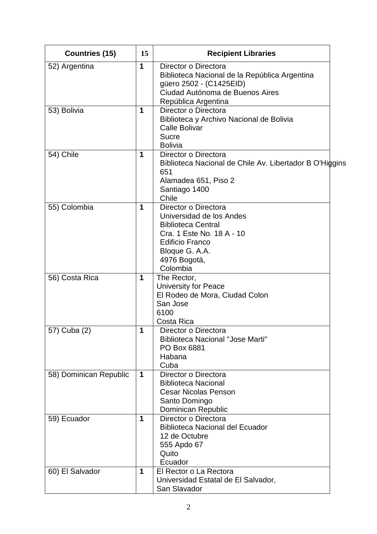| <b>Countries (15)</b>  | 15          | <b>Recipient Libraries</b>                                                                                                                                                         |
|------------------------|-------------|------------------------------------------------------------------------------------------------------------------------------------------------------------------------------------|
| 52) Argentina          | 1           | Director o Directora<br>Biblioteca Nacional de la República Argentina<br>güero 2502 - (C1425EID)<br>Ciudad Autónoma de Buenos Aires<br>República Argentina                         |
| 53) Bolivia            | 1           | Director o Directora<br>Biblioteca y Archivo Nacional de Bolivia<br>Calle Bolivar<br><b>Sucre</b><br><b>Bolivia</b>                                                                |
| 54) Chile              | 1           | Director o Directora<br>Biblioteca Nacional de Chile Av. Libertador B O'Higgins<br>651<br>Alamadea 651, Piso 2<br>Santiago 1400<br>Chile                                           |
| 55) Colombia           | 1           | Director o Directora<br>Universidad de los Andes<br><b>Biblioteca Central</b><br>Cra. 1 Este No. 18 A - 10<br><b>Edificio Franco</b><br>Bloque G. A.A.<br>4976 Bogotá,<br>Colombia |
| 56) Costa Rica         | 1           | The Rector,<br><b>University for Peace</b><br>El Rodeo de Mora, Ciudad Colon<br>San Jose<br>6100<br>Costa Rica                                                                     |
| 57) Cuba (2)           | 1           | Director o Directora<br><b>Biblioteca Nacional "Jose Marti"</b><br>PO Box 6881<br>Habana<br>Cuba                                                                                   |
| 58) Dominican Republic | $\mathbf 1$ | Director o Directora<br><b>Biblioteca Nacional</b><br><b>Cesar Nicolas Penson</b><br>Santo Domingo<br><b>Dominican Republic</b>                                                    |
| 59) Ecuador            | 1           | Director o Directora<br><b>Biblioteca Nacional del Ecuador</b><br>12 de Octubre<br>555 Apdo 67<br>Quito<br>Ecuador                                                                 |
| 60) El Salvador        | 1           | El Rector o La Rectora<br>Universidad Estatal de El Salvador,<br>San Slavador                                                                                                      |